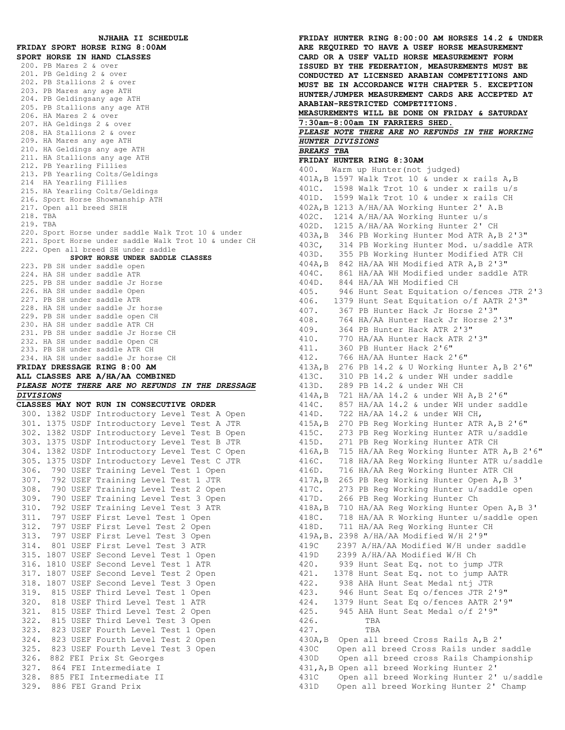**NJHAHA II SCHEDULE FRIDAY SPORT HORSE RING 8:00AM SPORT HORSE IN HAND CLASSES** 200. PB Mares 2 & over 201. PB Gelding 2 & over 202. PB Stallions 2 & over 203. PB Mares any age ATH 204. PB Geldingsany age ATH 205. PB Stallions any age ATH 206. HA Mares 2 & over 207. HA Geldings 2 & over 208. HA Stallions 2 & over 209. HA Mares any age ATH 210. HA Geldings any age ATH 211. HA Stallions any age ATH 212. PB Yearling Fillies 213. PB Yearling Colts/Geldings 214 HA Yearling Fillies 215. HA Yearling Colts/Geldings 216. Sport Horse Showmanship ATH 217. Open all breed SHIH 218. TBA 219. TBA 220. Sport Horse under saddle Walk Trot 10 & under 221. Sport Horse under saddle Walk Trot 10 & under CH 222. Open all breed SH under saddle **SPORT HORSE UNDER SADDLE CLASSES** 223. PB SH under saddle open 224. HA SH under saddle ATR 225. PB SH under saddle Jr Horse 226. HA SH under saddle Open 227. PB SH under saddle ATR 228. HA SH under saddle Jr horse<br>229. PB SH under saddle open CH 229. PB SH under saddle open CH 230. HA SH under saddle ATR CH 231. PB SH under saddle Jr Horse CH 232. HA SH under saddle Open CH 233. PB SH under saddle ATR CH 234. HA SH under saddle Jr horse CH **FRIDAY DRESSAGE RING 8:00 AM ALL CLASSES ARE A/HA/AA COMBINED** *PLEASE NOTE THERE ARE NO REFUNDS IN THE DRESSAGE DIVISIONS* **CLASSES MAY NOT RUN IN CONSECUTIVE ORDER**  300. 1382 USDF Introductory Level Test A Open 301. 1375 USDF Introductory Level Test A JTR 302. 1382 USDF Introductory Level Test B Open 303. 1375 USDF Introductory Level Test B JTR 304. 1382 USDF Introductory Level Test C Open 305. 1375 USDF Introductory Level Test C JTR 306. 790 USEF Training Level Test 1 Open 307. 792 USEF Training Level Test 1 JTR 308. 790 USEF Training Level Test 2 Open 309. 790 USEF Training Level Test 3 Open 310. 792 USEF Training Level Test 3 ATR 311. 797 USEF First Level Test 1 Open 312. 797 USEF First Level Test 2 Open 313. 797 USEF First Level Test 3 Open 314. 801 USEF First Level Test 3 ATR 315. 1807 USEF Second Level Test 1 Open 316. 1810 USEF Second Level Test 1 ATR 317. 1807 USEF Second Level Test 2 Open 318. 1807 USEF Second Level Test 3 Open 319. 815 USEF Third Level Test 1 Open 320. 818 USEF Third Level Test 1 ATR 321. 815 USEF Third Level Test 2 Open 322. 815 USEF Third Level Test 3 Open 323. 823 USEF Fourth Level Test 1 Open 324. 823 USEF Fourth Level Test 2 Open 325. 823 USEF Fourth Level Test 3 Open 326. 882 FEI Prix St Georges 327. 864 FEI Intermediate I 328. 885 FEI Intermediate II 329. 886 FEI Grand Prix

**FRIDAY HUNTER RING 8:00:00 AM HORSES 14.2 & UNDER ARE REQUIRED TO HAVE A USEF HORSE MEASUREMENT CARD OR A USEF VALID HORSE MEASUREMENT FORM ISSUED BY THE FEDERATION, MEASUREMENTS MUST BE CONDUCTED AT LICENSED ARABIAN COMPETITIONS AND MUST BE IN ACCORDANCE WITH CHAPTER 5. EXCEPTION HUNTER/JUMPER MEASUREMENT CARDS ARE ACCEPTED AT ARABIAN-RESTRICTED COMPETITIONS. MEASUREMENTS WILL BE DONE ON FRIDAY & SATURDAY 7:30am-8:00am IN FARRIERS SHED.** *PLEASE NOTE THERE ARE NO REFUNDS IN THE WORKING HUNTER DIVISIONS BREAKS TBA* **FRIDAY HUNTER RING 8:30AM** 400. Warm up Hunter(not judged) 401A,B 1597 Walk Trot 10 & under x rails A,B 401C. 1598 Walk Trot 10 & under x rails u/s 401D. 1599 Walk Trot 10 & under x rails CH 402A,B 1213 A/HA/AA Working Hunter 2' A.B 402C. 1214 A/HA/AA Working Hunter u/s 402D. 1215 A/HA/AA Working Hunter 2' CH 403A,B 346 PB Working Hunter Mod ATR A,B 2'3" 403C, 314 PB Working Hunter Mod. u/saddle ATR 403D. 355 PB Working Hunter Modified ATR CH 404A,B 842 HA/AA WH Modified ATR A,B 2'3" 404C. 861 HA/AA WH Modified under saddle ATR 404D. 844 HA/AA WH Modified CH 405. 946 Hunt Seat Equitation o/fences JTR 2'3 406. 1379 Hunt Seat Equitation o/f AATR 2'3" 407. 367 PB Hunter Hack Jr Horse 2'3" 408. 764 HA/AA Hunter Hack Jr Horse 2'3" 409. 364 PB Hunter Hack ATR 2'3" 410. 770 HA/AA Hunter Hack ATR 2'3" 411. 360 PB Hunter Hack 2'6" 412. 766 HA/AA Hunter Hack 2'6" 413A,B 276 PB 14.2 & U Working Hunter A,B 2'6" 413C. 310 PB 14.2 & under WH under saddle 413D. 289 PB 14.2 & under WH CH 414A,B 721 HA/AA 14.2 & under WH A,B 2'6" 414C. 857 HA/AA 14.2 & under WH under saddle 414D. 722 HA/AA 14.2 & under WH CH, 415A,B 270 PB Reg Working Hunter ATR A,B 2'6" 415C. 273 PB Reg Working Hunter ATR u/saddle 415D. 271 PB Reg Working Hunter ATR CH 416A,B 715 HA/AA Reg Working Hunter ATR A,B 2'6" 416C. 718 HA/AA Reg Working Hunter ATR u/saddle 416D. 716 HA/AA Reg Working Hunter ATR CH 417A,B 265 PB Reg Working Hunter Open A,B 3' 417C. 273 PB Reg Working Hunter u/saddle open 417D. 266 PB Reg Working Hunter Ch 418A,B 710 HA/AA Reg Working Hunter Open A,B 3' 418C. 718 HA/AA R Working Hunter u/saddle open 418D. 711 HA/AA Reg Working Hunter CH 419A,B. 2398 A/HA/AA Modified W/H 2'9" 419C 2397 A/HA/AA Modified W/H under saddle 419D 2399 A/HA/AA Modified W/H Ch 420. 939 Hunt Seat Eq. not to jump JTR 421. 1378 Hunt Seat Eq. not to jump AATR 422. 938 AHA Hunt Seat Medal ntj JTR 423. 946 Hunt Seat Eq o/fences JTR 2'9" 424. 1379 Hunt Seat Eq o/fences AATR 2'9" 425. 945 AHA Hunt Seat Medal o/f 2'9" 426. TBA 427. TBA 430A,B Open all breed Cross Rails A,B 2' 430C Open all breed Cross Rails under saddle 430D Open all breed cross Rails Championship 431,A,B Open all breed Working Hunter 2' 431C Open all breed Working Hunter 2' u/saddle 431D Open all breed Working Hunter 2' Champ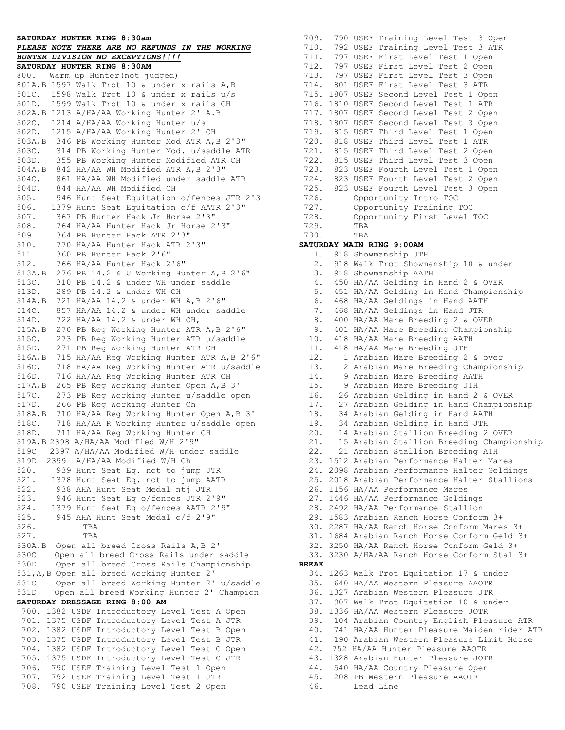## **SATURDAY HUNTER RING 8:30am**

## *PLEASE NOTE THERE ARE NO REFUNDS IN THE WORKING HUNTER DIVISION NO EXCEPTIONS!!!!*

**SATURDAY HUNTER RING 8:30AM** 800. Warm up Hunter(not judged) 801A,B 1597 Walk Trot 10 & under x rails A,B 501C. 1598 Walk Trot 10 & under x rails u/s 501D. 1599 Walk Trot 10 & under x rails CH 502A,B 1213 A/HA/AA Working Hunter 2' A.B 502C. 1214 A/HA/AA Working Hunter u/s 502D. 1215 A/HA/AA Working Hunter 2' CH 503A,B 346 PB Working Hunter Mod ATR A,B 2'3" 503C, 314 PB Working Hunter Mod. u/saddle ATR 503D. 355 PB Working Hunter Modified ATR CH 504A,B 842 HA/AA WH Modified ATR A,B 2'3" 504C. 861 HA/AA WH Modified under saddle ATR 504D. 844 HA/AA WH Modified CH 505. 946 Hunt Seat Equitation o/fences JTR 2'3 506. 1379 Hunt Seat Equitation o/f AATR 2'3" 507. 367 PB Hunter Hack Jr Horse 2'3" 508. 764 HA/AA Hunter Hack Jr Horse 2'3" 509. 364 PB Hunter Hack ATR 2'3" 510. 770 HA/AA Hunter Hack ATR 2'3" 511. 360 PB Hunter Hack 2'6" 512. 766 HA/AA Hunter Hack 2'6" 513A,B 276 PB 14.2 & U Working Hunter A,B 2'6" 513C. 310 PB 14.2 & under WH under saddle 513D. 289 PB 14.2 & under WH CH 514A,B 721 HA/AA 14.2 & under WH A,B 2'6" 514C. 857 HA/AA 14.2 & under WH under saddle 514D. 722 HA/AA 14.2 & under WH CH, 515A,B 270 PB Reg Working Hunter ATR A,B 2'6" 515C. 273 PB Reg Working Hunter ATR u/saddle 515D. 271 PB Reg Working Hunter ATR CH 516A,B 715 HA/AA Reg Working Hunter ATR A,B 2'6" 516C. 718 HA/AA Reg Working Hunter ATR u/saddle 516D. 716 HA/AA Reg Working Hunter ATR CH 517A,B 265 PB Reg Working Hunter Open A,B 3' 517C. 273 PB Reg Working Hunter u/saddle open 517D. 266 PB Reg Working Hunter Ch 518A,B 710 HA/AA Reg Working Hunter Open A,B 3' 518C. 718 HA/AA R Working Hunter u/saddle open 518D. 711 HA/AA Reg Working Hunter CH 519A,B 2398 A/HA/AA Modified W/H 2'9" 519C 2397 A/HA/AA Modified W/H under saddle 519D 2399 A/HA/AA Modified W/H Ch 520. 939 Hunt Seat Eq. not to jump JTR 521. 1378 Hunt Seat Eq. not to jump AATR 522. 938 AHA Hunt Seat Medal ntj JTR 523. 946 Hunt Seat Eq o/fences JTR 2'9" 524. 1379 Hunt Seat Eq o/fences AATR 2'9" 525. 945 AHA Hunt Seat Medal o/f 2'9" 526. TBA 527. TBA 530A,B Open all breed Cross Rails A,B 2' 530C Open all breed Cross Rails under saddle 530D Open all breed Cross Rails Championship 531,A,B Open all breed Working Hunter 2' 531C Open all breed Working Hunter 2' u/saddle 531D Open all breed Working Hunter 2' Champion **SATURDAY DRESSAGE RING 8:00 AM** 700. 1382 USDF Introductory Level Test A Open 701. 1375 USDF Introductory Level Test A JTR 702. 1382 USDF Introductory Level Test B Open 703. 1375 USDF Introductory Level Test B JTR 704. 1382 USDF Introductory Level Test C Open 705. 1375 USDF Introductory Level Test C JTR 706. 790 USEF Training Level Test 1 Open 707. 792 USEF Training Level Test 1 JTR 708. 790 USEF Training Level Test 2 Open

709. 790 USEF Training Level Test 3 Open 710. 792 USEF Training Level Test 3 ATR 711. 797 USEF First Level Test 1 Open 712. 797 USEF First Level Test 2 Open 713. 797 USEF First Level Test 3 Open 714. 801 USEF First Level Test 3 ATR 715. 1807 USEF Second Level Test 1 Open 716. 1810 USEF Second Level Test 1 ATR 717. 1807 USEF Second Level Test 2 Open 718. 1807 USEF Second Level Test 3 Open 719. 815 USEF Third Level Test 1 Open 720. 818 USEF Third Level Test 1 ATR 721. 815 USEF Third Level Test 2 Open 722. 815 USEF Third Level Test 3 Open 723. 823 USEF Fourth Level Test 1 Open 724. 823 USEF Fourth Level Test 2 Open 725. 823 USEF Fourth Level Test 3 Open 726. Opportunity Intro TOC 727. Opportunity Training TOC 728. Opportunity First Level TOC 729. TBA 730. TBA **SATURDAY MAIN RING 9:00AM** 1. 918 Showmanship JTH 2. 918 Walk Trot Showmanship 10 & under 3.918 Showmanship AATH 4. 450 HA/AA Gelding in Hand 2 & OVER 5. 451 HA/AA Gelding in Hand Championship 6. 468 HA/AA Geldings in Hand AATH 7. 468 HA/AA Geldings in Hand JTR 8. 400 HA/AA Mare Breeding 2 & OVER 9. 401 HA/AA Mare Breeding Championship 10. 418 HA/AA Mare Breeding AATH 11. 418 HA/AA Mare Breeding JTH 12. 1 Arabian Mare Breeding 2 & over 13. 2 Arabian Mare Breeding Championship 14. 9 Arabian Mare Breeding AATH 15. 9 Arabian Mare Breeding JTH 16. 26 Arabian Gelding in Hand 2 & OVER 17. 27 Arabian Gelding in Hand Championship 18. 34 Arabian Gelding in Hand AATH 19. 34 Arabian Gelding in Hand JTH 20. 14 Arabian Stallion Breeding 2 OVER 21. 15 Arabian Stallion Breeding Championship 22. 21 Arabian Stallion Breeding ATH 23. 1512 Arabian Performance Halter Mares 24. 2098 Arabian Performance Halter Geldings 25. 2018 Arabian Performance Halter Stallions 26. 1156 HA/AA Performance Mares 27. 1446 HA/AA Performance Geldings 28. 2492 HA/AA Performance Stallion 29. 1583 Arabian Ranch Horse Conform 3+ 30. 2287 HA/AA Ranch Horse Conform Mares 3+ 31. 1684 Arabian Ranch Horse Conform Geld 3+ 32. 3250 HA/AA Ranch Horse Conform Geld 3+ 33. 3230 A/HA/AA Ranch Horse Conform Stal 3+ **BREAK** 34. 1263 Walk Trot Equitation 17 & under 35. 640 HA/AA Western Pleasure AAOTR 36. 1327 Arabian Western Pleasure JTR 37. 907 Walk Trot Equitation 10 & under 38. 1336 HA/AA Western Pleasure JOTR 39. 104 Arabian Country English Pleasure ATR 40. 741 HA/AA Hunter Pleasure Maiden rider ATR 41. 190 Arabian Western Pleasure Limit Horse 42. 752 HA/AA Hunter Pleasure AAOTR 43. 1328 Arabian Hunter Pleasure JOTR 44. 540 HA/AA Country Pleasure Open 45. 208 PB Western Pleasure AAOTR 46. Lead Line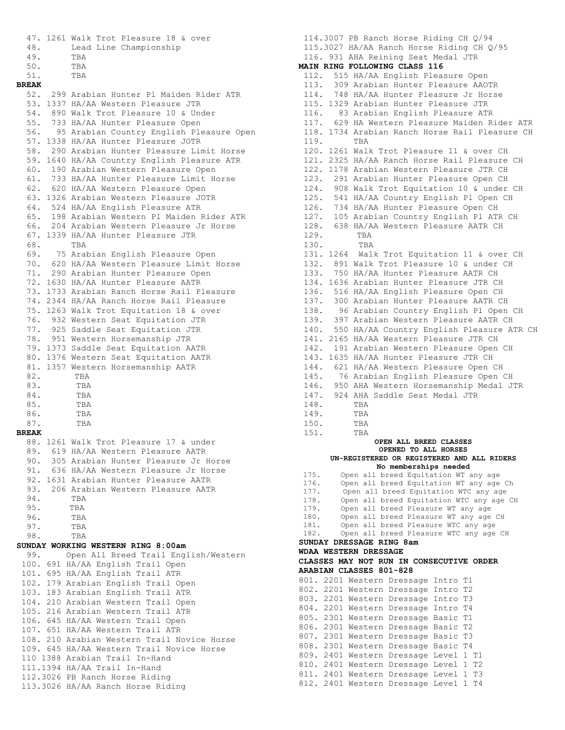```
 47. 1261 Walk Trot Pleasure 18 & over
 48. Lead Line Championship
 49. TBA
  50. TBA<br>51. TBA
 51. TBA
BREAK
 52. 299 Arabian Hunter Pl Maiden Rider ATR
 53. 1337 HA/AA Western Pleasure JTR
 54. 890 Walk Trot Pleasure 10 & Under
 55. 733 HA/AA Hunter Pleasure Open
 56. 95 Arabian Country English Pleasure Open
 57. 1338 HA/AA Hunter Pleasure JOTR
 58. 290 Arabian Hunter Pleasure Limit Horse
 59. 1640 HA/AA Country English Pleasure ATR
 60. 190 Arabian Western Pleasure Open
 61. 733 HA/AA Hunter Pleasure Limit Horse
 62. 620 HA/AA Western Pleasure Open
 63. 1326 Arabian Western Pleasure JOTR
 64. 524 HA/AA English Pleasure ATR
 65. 198 Arabian Western Pl Maiden Rider ATR
 66. 204 Arabian Western Pleasure Jr Horse
 67. 1339 HA/AA Hunter Pleasure JTR
 68. TBA
 69. 75 Arabian English Pleasure Open
 70. 620 HA/AA Western Pleasure Limit Horse
 71. 290 Arabian Hunter Pleasure Open
 72. 1630 HA/AA Hunter Pleasure AATR
 73. 1733 Arabian Ranch Horse Rail Pleasure
 74. 2344 HA/AA Ranch Horse Rail Pleasure
 75. 1263 Walk Trot Equitation 18 & over 
 76. 932 Western Seat Equitation JTR
 77. 925 Saddle Seat Equitation JTR
 78. 951 Western Horsemanship JTR
 79. 1373 Saddle Seat Equitation AATR
 80. 1376 Western Seat Equitation AATR
 81. 1357 Western Horsemanship AATR
 82. TBA
 83. TBA
 84. TBA
 85. TBA<br>86. TBA
 86. 87. TBA
BREAK<br>88. 1261 Walk Trot Pleasure 17 & under
 88. 1261 Walk Trot Pleasure 17 & under
 89. 619 HA/AA Western Pleasure AATR
 90. 305 Arabian Hunter Pleasure Jr Horse 
 91. 636 HA/AA Western Pleasure Jr Horse
 92. 1631 Arabian Hunter Pleasure AATR
 93. 206 Arabian Western Pleasure AATR
 94. TBA
 95. TBA
 96. TBA
 97. TBA
 98. TBA
SUNDAY WORKING WESTERN RING 8:00am
 99. Open All Breed Trail English/Western
 100. 691 HA/AA English Trail Open
 101. 695 HA/AA English Trail ATR
 102. 179 Arabian English Trail Open
 103. 183 Arabian English Trail ATR
 104. 210 Arabian Western Trail Open
 105. 216 Arabian Western Trail ATR
 106. 645 HA/AA Western Trail Open
 107. 651 HA/AA Western Trail ATR
 108. 210 Arabian Western Trail Novice Horse
 109. 645 HA/AA Western Trail Novice Horse
 110 1388 Arabian Trail In-Hand
 111.1394 HA/AA Trail In-Hand
 112.3026 PB Ranch Horse Riding
 113.3026 HA/AA Ranch Horse Riding
```
114.3007 PB Ranch Horse Riding CH Q/94 115.3027 HA/AA Ranch Horse Riding CH Q/95 116. 931 AHA Reining Seat Medal JTR **MAIN RING FOLLOWING CLASS 116**<br>112. 515 HA/AA English Pleasure Open 112. 515 HA/AA English Pleasure Open 113. 309 Arabian Hunter Pleasure AAOTR 114. 748 HA/AA Hunter Pleasure Jr Horse 115. 1329 Arabian Hunter Pleasure JTR 116. 83 Arabian English Pleasure ATR 117. 629 HA Western Pleasure Maiden Rider ATR 118. 1734 Arabian Ranch Horse Rail Pleasure CH 119. TBA 120. 1261 Walk Trot Pleasure 11 & over CH 121. 2325 HA/AA Ranch Horse Rail Pleasure CH 122. 1178 Arabian Western Pleasure JTR CH 123. 291 Arabian Hunter Pleasure Open CH 124. 908 Walk Trot Equitation 10 & under CH 125. 541 HA/AA Country English Pl Open CH 126. 734 HA/AA Hunter Pleasure Open CH 127. 105 Arabian Country English Pl ATR CH 128. 638 HA/AA Western Pleasure AATR CH 129. TBA 130. TBA 131. 1264 Walk Trot Equitation 11 & over CH 132. 891 Walk Trot Pleasure 10 & under CH 133. 750 HA/AA Hunter Pleasure AATR CH 134. 1636 Arabian Hunter Pleasure JTR CH 136. 516 HA/AA English Pleasure Open CH 137. 300 Arabian Hunter Pleasure AATR CH 138. 96 Arabian Country English Pl Open CH 139. 397 Arabian Western Pleasure AATR CH 140. 550 HA/AA Country English Pleasure ATR CH 141. 2165 HA/AA Western Pleasure JTR CH 142. 191 Arabian Western Pleasure Open CH 143. 1635 HA/AA Hunter Pleasure JTR CH 144. 621 HA/AA Western Pleasure Open CH 145. 76 Arabian English Pleasure Open CH 146. 950 AHA Western Horsemanship Medal JTR 147. 924 AHA Saddle Seat Medal JTR 148. TBA 149. TBA 150. TBA 151. TBA **OPEN ALL BREED CLASSES OPENED TO ALL HORSES UN-REGISTERED OR REGISTERED AND ALL RIDERS No memberships needed** 175. Open all breed Equitation WT any age 176. Open all breed Equitation WT any age Ch 177. Open all breed Equitation WTC any age 178. Open all breed Equitation WTC any age CH 179. Open all breed Pleasure WT any age 180. Open all breed Pleasure WT any age CH 181. Open all breed Pleasure WTC any age 182. Open all breed Pleasure WTC any age CH **SUNDAY DRESSAGE RING 8am WDAA WESTERN DRESSAGE CLASSES MAY NOT RUN IN CONSECUTIVE ORDER ARABIAN CLASSES 801-828** 801. 2201 Western Dressage Intro T1 802. 2201 Western Dressage Intro T2 803. 2201 Western Dressage Intro T3 804. 2201 Western Dressage Intro T4 805. 2301 Western Dressage Basic T1 806. 2301 Western Dressage Basic T2 807. 2301 Western Dressage Basic T3 808. 2301 Western Dressage Basic T4 809. 2401 Western Dressage Level 1 T1 810. 2401 Western Dressage Level 1 T2 811. 2401 Western Dressage Level 1 T3 812. 2401 Western Dressage Level 1 T4